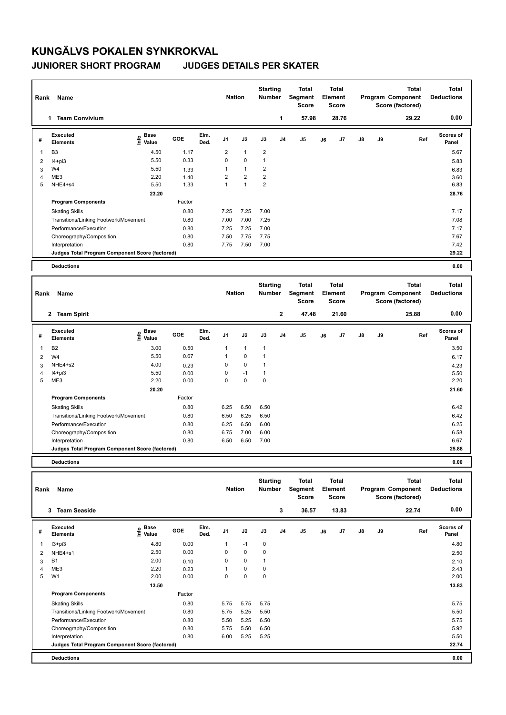## **KUNGÄLVS POKALEN SYNKROKVAL JUNIORER SHORT PROGRAM JUDGES DETAILS PER SKATER**

Skating Skills 6.25 6.50 6.50

Factor

**Program Components** 

| Rank | Name                                            |                              | <b>Nation</b> |              | <b>Starting</b><br><b>Number</b> |                | <b>Total</b><br>Segment<br><b>Score</b> | <b>Total</b><br>Element<br><b>Score</b> |                                         | Program Component |                                         | <b>Total</b><br>Score (factored) | <b>Total</b><br><b>Deductions</b> |                                                       |                                   |
|------|-------------------------------------------------|------------------------------|---------------|--------------|----------------------------------|----------------|-----------------------------------------|-----------------------------------------|-----------------------------------------|-------------------|-----------------------------------------|----------------------------------|-----------------------------------|-------------------------------------------------------|-----------------------------------|
|      | <b>Team Convivium</b><br>1                      |                              |               |              |                                  |                |                                         | 1                                       | 57.98                                   |                   | 28.76                                   |                                  |                                   | 29.22                                                 | 0.00                              |
| #    | Executed<br><b>Elements</b>                     | <b>Base</b><br>١nfo<br>Value | GOE           | Elm.<br>Ded. | J <sub>1</sub>                   | J2             | J3                                      | J <sub>4</sub>                          | J <sub>5</sub>                          | J6                | J7                                      | $\mathsf{J}8$                    | J9                                | Ref                                                   | <b>Scores of</b><br>Panel         |
| 1    | B <sub>3</sub>                                  | 4.50                         | 1.17          |              | 2                                | $\mathbf{1}$   | $\overline{\mathbf{c}}$                 |                                         |                                         |                   |                                         |                                  |                                   |                                                       | 5.67                              |
| 2    | $I4 + pi3$                                      | 5.50                         | 0.33          |              | $\Omega$                         | $\mathbf 0$    | $\mathbf{1}$                            |                                         |                                         |                   |                                         |                                  |                                   |                                                       | 5.83                              |
| 3    | W4                                              | 5.50                         | 1.33          |              | 1                                | $\mathbf{1}$   | 2                                       |                                         |                                         |                   |                                         |                                  |                                   |                                                       | 6.83                              |
| 4    | ME3                                             | 2.20                         | 1.40          |              | 2                                | $\overline{2}$ | $\overline{2}$                          |                                         |                                         |                   |                                         |                                  |                                   |                                                       | 3.60                              |
| 5    | NHE4+s4                                         | 5.50                         | 1.33          |              | 1                                | $\overline{1}$ | $\overline{2}$                          |                                         |                                         |                   |                                         |                                  |                                   |                                                       | 6.83                              |
|      |                                                 | 23.20                        |               |              |                                  |                |                                         |                                         |                                         |                   |                                         |                                  |                                   |                                                       | 28.76                             |
|      | <b>Program Components</b>                       |                              | Factor        |              |                                  |                |                                         |                                         |                                         |                   |                                         |                                  |                                   |                                                       |                                   |
|      | <b>Skating Skills</b>                           |                              | 0.80          |              | 7.25                             | 7.25           | 7.00                                    |                                         |                                         |                   |                                         |                                  |                                   |                                                       | 7.17                              |
|      | Transitions/Linking Footwork/Movement           |                              | 0.80          |              | 7.00                             | 7.00           | 7.25                                    |                                         |                                         |                   |                                         |                                  |                                   |                                                       | 7.08                              |
|      | Performance/Execution                           |                              | 0.80          |              | 7.25                             | 7.25           | 7.00                                    |                                         |                                         |                   |                                         |                                  |                                   |                                                       | 7.17                              |
|      | Choreography/Composition                        |                              | 0.80          |              | 7.50                             | 7.75           | 7.75                                    |                                         |                                         |                   |                                         |                                  |                                   |                                                       | 7.67                              |
|      | Interpretation                                  |                              | 0.80          |              | 7.75                             | 7.50           | 7.00                                    |                                         |                                         |                   |                                         |                                  |                                   |                                                       | 7.42                              |
|      | Judges Total Program Component Score (factored) |                              |               |              |                                  |                |                                         |                                         |                                         |                   |                                         |                                  |                                   |                                                       | 29.22                             |
|      | <b>Deductions</b>                               |                              |               |              |                                  |                |                                         |                                         |                                         |                   |                                         |                                  |                                   |                                                       | 0.00                              |
|      |                                                 |                              |               |              |                                  |                |                                         |                                         |                                         |                   |                                         |                                  |                                   |                                                       |                                   |
| Rank | Name                                            |                              |               |              | <b>Nation</b>                    |                | <b>Starting</b><br><b>Number</b>        |                                         | <b>Total</b><br>Segment<br><b>Score</b> |                   | <b>Total</b><br>Element<br><b>Score</b> |                                  |                                   | <b>Total</b><br>Program Component<br>Score (factored) | <b>Total</b><br><b>Deductions</b> |
|      | 2 Team Spirit                                   |                              |               |              |                                  |                |                                         | $\mathbf{2}$                            | 47.48                                   |                   | 21.60                                   |                                  |                                   | 25.88                                                 | 0.00                              |
| #    | <b>Executed</b><br><b>Elements</b>              | e Base<br>E Value<br>Value   | GOE           | Elm.<br>Ded. | J <sub>1</sub>                   | J2             | J3                                      | J <sub>4</sub>                          | J <sub>5</sub>                          | J6                | J7                                      | $\mathsf{J}8$                    | J9                                | Ref                                                   | <b>Scores of</b><br>Panel         |
| 1    | <b>B2</b>                                       | 3.00                         | 0.50          |              | 1                                | $\mathbf{1}$   | $\mathbf{1}$                            |                                         |                                         |                   |                                         |                                  |                                   |                                                       | 3.50                              |

2 W4 5.50 0.67 1 0 1 6.17 3 NHE4+s2 4.00 0.23 0 0 1 4.23 4 I4+pi3 5.50 0.00 0 -1 1 5.50 5 ME3 2.20 2.20 0.00 0 0 0 0 2.20 2.20 2.20

Transitions/Linking Footwork/Movement 0.80 6.50 6.25 6.50 6.42 Performance/Execution 0.80 6.25 6.50 6.00 6.25 6.50 6.00 6.25 6.50 6.00 6.25 6.25

 **20.20 21.60**

0.80 6.42

Choreography/Composition 0.80 6.75 7.00 6.00 6.00 6.58 Interpretation 0.80 6.50 6.50 7.00 6.67 **Deductions 0.00 Judges Total Program Component Score (factored) 25.88 Total Deductions Total Program Component Score (factored) Total Element Score Total Segment Score Starting Rank Name Nation Number # Executed Elements Base Info Value GOE J1 J2 J3 J4 J5 J6 J7 J8 J9 Scores of Panel** 1 4.80 0.00 1 -1 0 **Ref**  4.80 **Elm. Ded.**  I3+pi3  **3 Team Seaside 3 36.57 13.83 22.74 0.00** 2 NHE4+s1 2.50 0.00 0 0 0 2.50  $3$  B1 2.00 0.10 0 0 1 4 ME3 2.20 0.23 1 0 0 2.43 5 W1 2.00 2.00 0.00 0 0 0 0 2.00 2.00  **13.50** 13.83 **Program Components**  Skating Skills 5.75 5.75 5.75 0.80 5.75 Factor Transitions/Linking Footwork/Movement 0.80 5.75 5.25 5.50 5.50 Performance/Execution 0.80 5.50 5.25 6.50 5.75 Choreography/Composition 0.80 5.75 5.50 6.50 5.92 Interpretation 0.80 6.00 5.25 5.25 5.50 **Deductions 0.00 Judges Total Program Component Score (factored) 22.74**